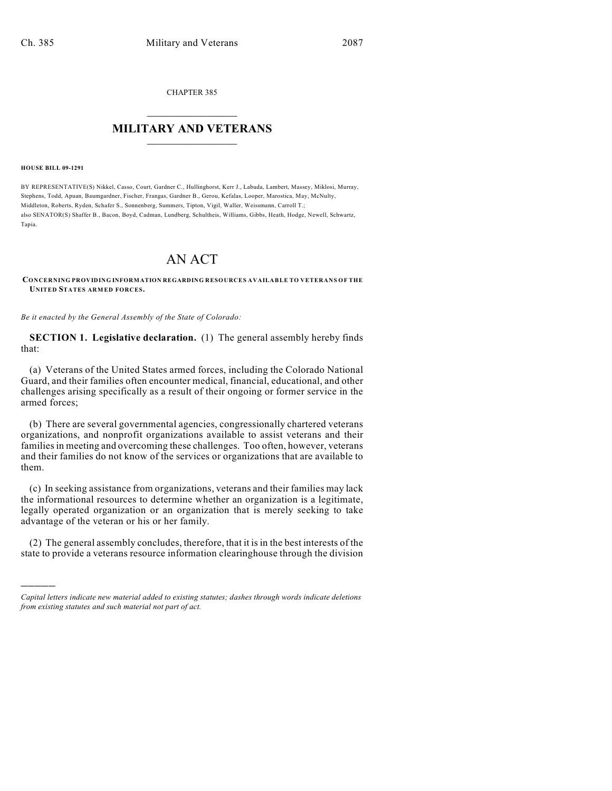CHAPTER 385

## $\overline{\phantom{a}}$  . The set of the set of the set of the set of the set of the set of the set of the set of the set of the set of the set of the set of the set of the set of the set of the set of the set of the set of the set o **MILITARY AND VETERANS**  $\frac{1}{2}$  ,  $\frac{1}{2}$  ,  $\frac{1}{2}$  ,  $\frac{1}{2}$  ,  $\frac{1}{2}$  ,  $\frac{1}{2}$  ,  $\frac{1}{2}$

## **HOUSE BILL 09-1291**

)))))

BY REPRESENTATIVE(S) Nikkel, Casso, Court, Gardner C., Hullinghorst, Kerr J., Labuda, Lambert, Massey, Miklosi, Murray, Stephens, Todd, Apuan, Baumgardner, Fischer, Frangas, Gardner B., Gerou, Kefalas, Looper, Marostica, May, McNulty, Middleton, Roberts, Ryden, Schafer S., Sonnenberg, Summers, Tipton, Vigil, Waller, Weissmann, Carroll T.; also SENATOR(S) Shaffer B., Bacon, Boyd, Cadman, Lundberg, Schultheis, Williams, Gibbs, Heath, Hodge, Newell, Schwartz, Tapia.

## AN ACT

**CONCERNING PROVIDING INFORMATION REGARDING RESOURCES AVAILABLE TO VETERANS OF THE UNITED STATES ARMED FORCES.**

*Be it enacted by the General Assembly of the State of Colorado:*

**SECTION 1. Legislative declaration.** (1) The general assembly hereby finds that:

(a) Veterans of the United States armed forces, including the Colorado National Guard, and their families often encounter medical, financial, educational, and other challenges arising specifically as a result of their ongoing or former service in the armed forces;

(b) There are several governmental agencies, congressionally chartered veterans organizations, and nonprofit organizations available to assist veterans and their families in meeting and overcoming these challenges. Too often, however, veterans and their families do not know of the services or organizations that are available to them.

(c) In seeking assistance from organizations, veterans and their families may lack the informational resources to determine whether an organization is a legitimate, legally operated organization or an organization that is merely seeking to take advantage of the veteran or his or her family.

(2) The general assembly concludes, therefore, that it is in the best interests of the state to provide a veterans resource information clearinghouse through the division

*Capital letters indicate new material added to existing statutes; dashes through words indicate deletions from existing statutes and such material not part of act.*